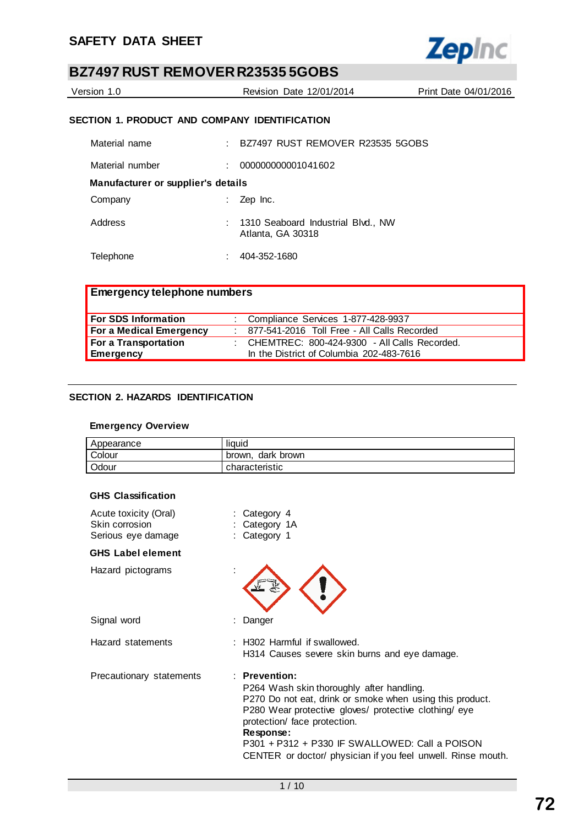

| Version 1.0 | <b>Revision Date 12/01/2014</b> | Print Date 04/01/2016 |
|-------------|---------------------------------|-----------------------|
|             |                                 |                       |

## **SECTION 1. PRODUCT AND COMPANY IDENTIFICATION**

| Material name                      | BZ7497 RUST REMOVER R23535 5GOBS                        |
|------------------------------------|---------------------------------------------------------|
| Material number                    | 000000000001041602                                      |
| Manufacturer or supplier's details |                                                         |
| Company                            | Zep Inc.                                                |
| Address                            | 1310 Seaboard Industrial Blvd., NW<br>Atlanta, GA 30318 |
| Telephone                          | 404-352-1680                                            |

| <b>Emergency telephone numbers</b> |                                                  |
|------------------------------------|--------------------------------------------------|
| <b>For SDS Information</b>         | : Compliance Services 1-877-428-9937             |
| For a Medical Emergency            | : 877-541-2016 Toll Free - All Calls Recorded    |
| For a Transportation               | : CHEMTREC: $800-424-9300$ - All Calls Recorded. |
| <b>Emergency</b>                   | In the District of Columbia 202-483-7616         |

## **SECTION 2. HAZARDS IDENTIFICATION**

## **Emergency Overview**

| Appearance | liquid               |
|------------|----------------------|
| Colour     | dark brown<br>brown. |
| Odour      | characteristic       |

#### **GHS Classification**

| Acute toxicity (Oral)<br>Skin corrosion<br>Serious eye damage | Category 4<br>Category 1A<br>Category 1                                                                                                                                                                                                                                                                                                          |
|---------------------------------------------------------------|--------------------------------------------------------------------------------------------------------------------------------------------------------------------------------------------------------------------------------------------------------------------------------------------------------------------------------------------------|
| <b>GHS Label element</b>                                      |                                                                                                                                                                                                                                                                                                                                                  |
| Hazard pictograms                                             |                                                                                                                                                                                                                                                                                                                                                  |
| Signal word                                                   | Danger                                                                                                                                                                                                                                                                                                                                           |
| Hazard statements                                             | : H302 Harmful if swallowed.<br>H314 Causes severe skin burns and eye damage.                                                                                                                                                                                                                                                                    |
| Precautionary statements                                      | $:$ Prevention:<br>P264 Wash skin thoroughly after handling.<br>P270 Do not eat, drink or smoke when using this product.<br>P280 Wear protective gloves/ protective clothing/ eye<br>protection/ face protection.<br>Response:<br>P301 + P312 + P330 IF SWALLOWED: Call a POISON<br>CENTER or doctor/ physician if you feel unwell. Rinse mouth. |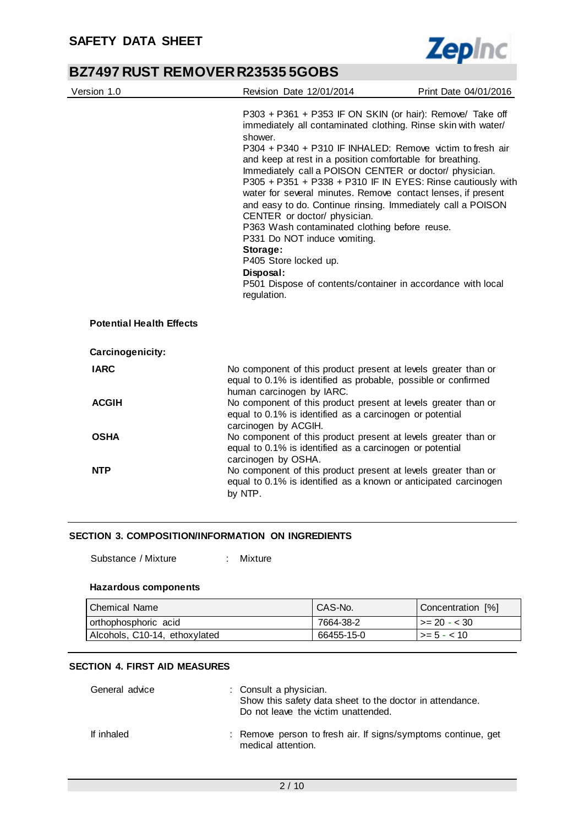

| Version 1.0                     | Revision Date 12/01/2014                                                                                                                                                                                                                                                                                                                                                                                                                                                                                                                                                                                                                                                                                                                                                 | Print Date 04/01/2016 |
|---------------------------------|--------------------------------------------------------------------------------------------------------------------------------------------------------------------------------------------------------------------------------------------------------------------------------------------------------------------------------------------------------------------------------------------------------------------------------------------------------------------------------------------------------------------------------------------------------------------------------------------------------------------------------------------------------------------------------------------------------------------------------------------------------------------------|-----------------------|
|                                 | P303 + P361 + P353 IF ON SKIN (or hair): Remove/ Take off<br>immediately all contaminated clothing. Rinse skin with water/<br>shower.<br>P304 + P340 + P310 IF INHALED: Remove victim to fresh air<br>and keep at rest in a position comfortable for breathing.<br>Immediately call a POISON CENTER or doctor/ physician.<br>P305 + P351 + P338 + P310 IF IN EYES: Rinse cautiously with<br>water for several minutes. Remove contact lenses, if present<br>and easy to do. Continue rinsing. Immediately call a POISON<br>CENTER or doctor/ physician.<br>P363 Wash contaminated clothing before reuse.<br>P331 Do NOT induce vomiting.<br>Storage:<br>P405 Store locked up.<br>Disposal:<br>P501 Dispose of contents/container in accordance with local<br>regulation. |                       |
| <b>Potential Health Effects</b> |                                                                                                                                                                                                                                                                                                                                                                                                                                                                                                                                                                                                                                                                                                                                                                          |                       |
| Carcinogenicity:                |                                                                                                                                                                                                                                                                                                                                                                                                                                                                                                                                                                                                                                                                                                                                                                          |                       |
| <b>IARC</b>                     | No component of this product present at levels greater than or<br>equal to 0.1% is identified as probable, possible or confirmed<br>human carcinogen by IARC.                                                                                                                                                                                                                                                                                                                                                                                                                                                                                                                                                                                                            |                       |
| <b>ACGIH</b>                    | No component of this product present at levels greater than or<br>equal to 0.1% is identified as a carcinogen or potential<br>carcinogen by ACGIH.                                                                                                                                                                                                                                                                                                                                                                                                                                                                                                                                                                                                                       |                       |
| <b>OSHA</b>                     | No component of this product present at levels greater than or<br>equal to 0.1% is identified as a carcinogen or potential<br>carcinogen by OSHA.                                                                                                                                                                                                                                                                                                                                                                                                                                                                                                                                                                                                                        |                       |
| <b>NTP</b>                      | No component of this product present at levels greater than or<br>equal to 0.1% is identified as a known or anticipated carcinogen<br>by NTP.                                                                                                                                                                                                                                                                                                                                                                                                                                                                                                                                                                                                                            |                       |

## **SECTION 3. COMPOSITION/INFORMATION ON INGREDIENTS**

Substance / Mixture : Mixture

#### **Hazardous components**

| ⊩Chemical Name                | CAS-No.    | Concentration [%]    |
|-------------------------------|------------|----------------------|
| orthophosphoric acid          | 7664-38-2  | $\vert$ >= 20 - < 30 |
| Alcohols, C10-14, ethoxylated | 66455-15-0 | l >= 5 - < 10 ·      |

#### **SECTION 4. FIRST AID MEASURES**

| General advice | : Consult a physician.<br>Show this safety data sheet to the doctor in attendance.<br>Do not leave the victim unattended. |
|----------------|---------------------------------------------------------------------------------------------------------------------------|
| If inhaled     | : Remove person to fresh air. If signs/symptoms continue, get<br>medical attention.                                       |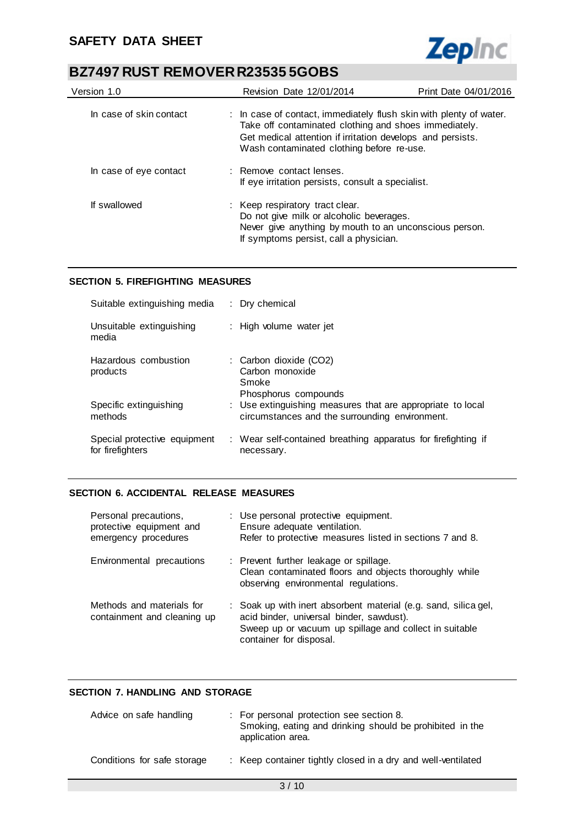

| Version 1.0             | <b>Revision Date 12/01/2014</b>                                                                                                                                                                                                        | Print Date 04/01/2016 |
|-------------------------|----------------------------------------------------------------------------------------------------------------------------------------------------------------------------------------------------------------------------------------|-----------------------|
| In case of skin contact | : In case of contact, immediately flush skin with plenty of water.<br>Take off contaminated clothing and shoes immediately.<br>Get medical attention if irritation develops and persists.<br>Wash contaminated clothing before re-use. |                       |
| In case of eye contact  | : Remove contact lenses.<br>If eye irritation persists, consult a specialist.                                                                                                                                                          |                       |
| If swallowed            | : Keep respiratory tract clear.<br>Do not give milk or alcoholic beverages.<br>Never give anything by mouth to an unconscious person.<br>If symptoms persist, call a physician.                                                        |                       |

### **SECTION 5. FIREFIGHTING MEASURES**

| Suitable extinguishing media                     | : Dry chemical                                                                                               |
|--------------------------------------------------|--------------------------------------------------------------------------------------------------------------|
| Unsuitable extinguishing<br>media                | : High volume water jet                                                                                      |
| Hazardous combustion<br>products                 | : Carbon dioxide (CO2)<br>Carbon monoxide<br>Smoke<br>Phosphorus compounds                                   |
| Specific extinguishing<br>methods                | : Use extinguishing measures that are appropriate to local<br>circumstances and the surrounding environment. |
| Special protective equipment<br>for firefighters | : Wear self-contained breathing apparatus for firefighting if<br>necessary.                                  |

### **SECTION 6. ACCIDENTAL RELEASE MEASURES**

| Personal precautions,<br>protective equipment and<br>emergency procedures | : Use personal protective equipment.<br>Ensure adequate ventilation.<br>Refer to protective measures listed in sections 7 and 8.                                                                 |
|---------------------------------------------------------------------------|--------------------------------------------------------------------------------------------------------------------------------------------------------------------------------------------------|
| Environmental precautions                                                 | : Prevent further leakage or spillage.<br>Clean contaminated floors and objects thoroughly while<br>observing environmental regulations.                                                         |
| Methods and materials for<br>containment and cleaning up                  | : Soak up with inert absorbent material (e.g. sand, silica gel,<br>acid binder, universal binder, sawdust).<br>Sweep up or vacuum up spillage and collect in suitable<br>container for disposal. |

## **SECTION 7. HANDLING AND STORAGE**

| Advice on safe handling     | : For personal protection see section 8.<br>Smoking, eating and drinking should be prohibited in the<br>application area. |
|-----------------------------|---------------------------------------------------------------------------------------------------------------------------|
| Conditions for safe storage | : Keep container tightly closed in a dry and well-ventilated                                                              |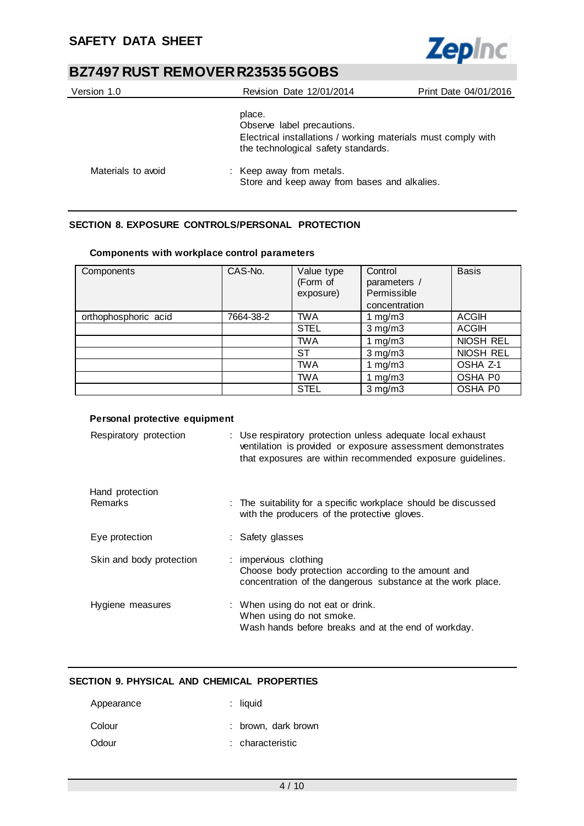

| Version 1.0        | <b>Revision Date 12/01/2014</b>                                                                                                              | Print Date 04/01/2016 |
|--------------------|----------------------------------------------------------------------------------------------------------------------------------------------|-----------------------|
|                    | place.<br>Observe label precautions.<br>Electrical installations / working materials must comply with<br>the technological safety standards. |                       |
| Materials to avoid | : Keep away from metals.<br>Store and keep away from bases and alkalies.                                                                     |                       |

## **SECTION 8. EXPOSURE CONTROLS/PERSONAL PROTECTION**

| Components           | CAS-No.   | Value type<br>(Form of<br>exposure) | Control<br>parameters /<br>Permissible<br>concentration | <b>Basis</b> |
|----------------------|-----------|-------------------------------------|---------------------------------------------------------|--------------|
| orthophosphoric acid | 7664-38-2 | <b>TWA</b>                          | 1 mg/m $3$                                              | <b>ACGIH</b> |
|                      |           | <b>STEL</b>                         | $3$ mg/m $3$                                            | <b>ACGIH</b> |
|                      |           | <b>TWA</b>                          | 1 $mg/m3$                                               | NIOSH REL    |
|                      |           | ST                                  | $3$ mg/m $3$                                            | NIOSH REL    |
|                      |           | <b>TWA</b>                          | 1 $mg/m3$                                               | OSHA Z-1     |
|                      |           | <b>TWA</b>                          | 1 $mg/m3$                                               | OSHA P0      |
|                      |           | <b>STEL</b>                         | $3$ mg/m $3$                                            | OSHA P0      |

## **Components with workplace control parameters**

### **Personal protective equipment**

| Respiratory protection   | : Use respiratory protection unless adequate local exhaust<br>ventilation is provided or exposure assessment demonstrates<br>that exposures are within recommended exposure guidelines. |
|--------------------------|-----------------------------------------------------------------------------------------------------------------------------------------------------------------------------------------|
| Hand protection          |                                                                                                                                                                                         |
| Remarks                  | : The suitability for a specific workplace should be discussed<br>with the producers of the protective gloves.                                                                          |
| Eye protection           | : Safety glasses                                                                                                                                                                        |
| Skin and body protection | : impervious clothing<br>Choose body protection according to the amount and<br>concentration of the dangerous substance at the work place.                                              |
| Hygiene measures         | : When using do not eat or drink.<br>When using do not smoke.<br>Wash hands before breaks and at the end of workday.                                                                    |

## **SECTION 9. PHYSICAL AND CHEMICAL PROPERTIES**

| Appearance | $:$ liquid          |
|------------|---------------------|
| Colour     | : brown, dark brown |
| Odour      | : characteristic    |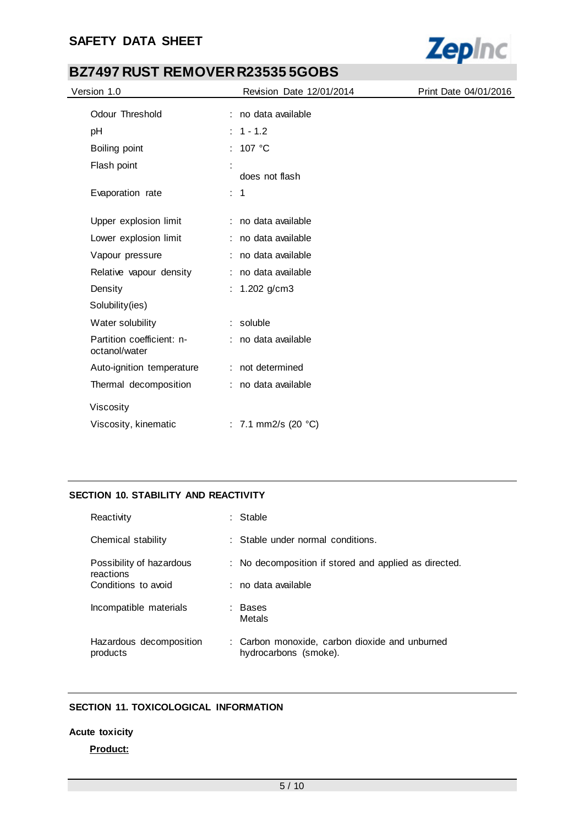

| Version 1.0                                | Revision Date 12/01/2014      | Print Date 04/01/2016 |
|--------------------------------------------|-------------------------------|-----------------------|
| Odour Threshold                            | : no data available           |                       |
| pH                                         | $: 1 - 1.2$                   |                       |
| Boiling point                              | : $107 °C$                    |                       |
| Flash point                                | does not flash                |                       |
| Evaporation rate                           | : 1                           |                       |
| Upper explosion limit                      | : no data available           |                       |
| Lower explosion limit                      | : no data available           |                       |
| Vapour pressure                            | : no data available           |                       |
| Relative vapour density                    | : no data available           |                       |
| Density                                    | : $1.202$ g/cm3               |                       |
| Solubility(ies)                            |                               |                       |
| Water solubility                           | : soluble                     |                       |
| Partition coefficient: n-<br>octanol/water | : no data available           |                       |
| Auto-ignition temperature                  | : not determined              |                       |
| Thermal decomposition                      | : no data available           |                       |
| Viscosity                                  |                               |                       |
| Viscosity, kinematic                       | : 7.1 mm2/s (20 $^{\circ}$ C) |                       |

## **SECTION 10. STABILITY AND REACTIVITY**

| Reactivity                            | Stable                                                                  |
|---------------------------------------|-------------------------------------------------------------------------|
| Chemical stability                    | : Stable under normal conditions.                                       |
| Possibility of hazardous<br>reactions | : No decomposition if stored and applied as directed.                   |
| Conditions to avoid                   | ∴no data available                                                      |
| Incompatible materials                | Bases<br>Metals                                                         |
| Hazardous decomposition<br>products   | : Carbon monoxide, carbon dioxide and unburned<br>hydrocarbons (smoke). |

## **SECTION 11. TOXICOLOGICAL INFORMATION**

#### **Acute toxicity**

## **Product:**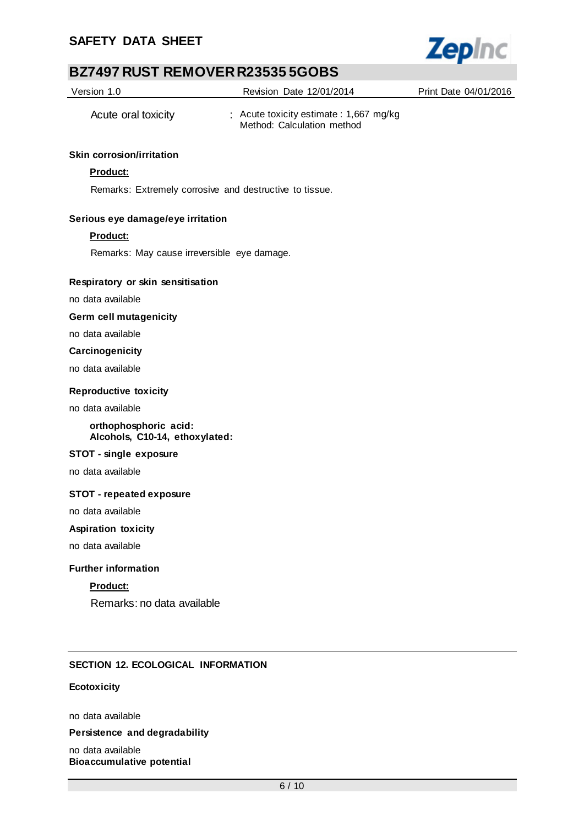

| Version 1.0                                             | Revision Date 12/01/2014                                              | Print Date 04/01/2016 |
|---------------------------------------------------------|-----------------------------------------------------------------------|-----------------------|
| Acute oral toxicity                                     | : Acute toxicity estimate : 1,667 mg/kg<br>Method: Calculation method |                       |
| <b>Skin corrosion/irritation</b>                        |                                                                       |                       |
| Product:                                                |                                                                       |                       |
| Remarks: Extremely corrosive and destructive to tissue. |                                                                       |                       |
| Serious eye damage/eye irritation                       |                                                                       |                       |
| Product:                                                |                                                                       |                       |
| Remarks: May cause irreversible eye damage.             |                                                                       |                       |
| Respiratory or skin sensitisation                       |                                                                       |                       |
| no data available                                       |                                                                       |                       |
| <b>Germ cell mutagenicity</b>                           |                                                                       |                       |
| no data available                                       |                                                                       |                       |
| Carcinogenicity                                         |                                                                       |                       |
| no data available                                       |                                                                       |                       |
| <b>Reproductive toxicity</b>                            |                                                                       |                       |
| no data available                                       |                                                                       |                       |
| orthophosphoric acid:<br>Alcohols, C10-14, ethoxylated: |                                                                       |                       |
| STOT - single exposure                                  |                                                                       |                       |
| no data available                                       |                                                                       |                       |
| <b>STOT - repeated exposure</b>                         |                                                                       |                       |
| no data available                                       |                                                                       |                       |
| <b>Aspiration toxicity</b>                              |                                                                       |                       |
| no data available                                       |                                                                       |                       |
| <b>Further information</b>                              |                                                                       |                       |
| Product:                                                |                                                                       |                       |
| Remarks: no data available                              |                                                                       |                       |
|                                                         |                                                                       |                       |
| <b>SECTION 12. ECOLOGICAL INFORMATION</b>               |                                                                       |                       |
|                                                         |                                                                       |                       |
| Ecotoxicity                                             |                                                                       |                       |
| no data available                                       |                                                                       |                       |
| Persistence and degradability                           |                                                                       |                       |
| no data available<br><b>Bioaccumulative potential</b>   |                                                                       |                       |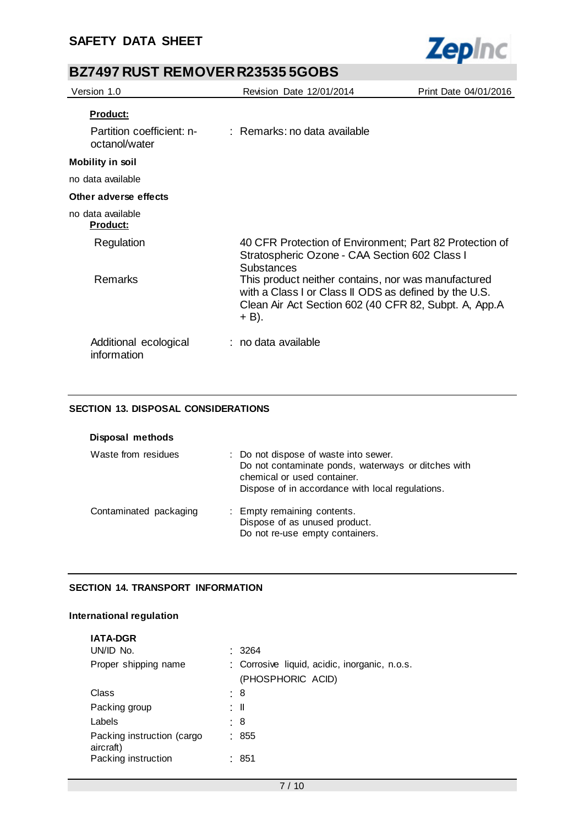

| Version 1.0                                | Revision Date 12/01/2014                                                                                                                                                       | Print Date 04/01/2016 |
|--------------------------------------------|--------------------------------------------------------------------------------------------------------------------------------------------------------------------------------|-----------------------|
| Product:                                   |                                                                                                                                                                                |                       |
| Partition coefficient: n-<br>octanol/water | : Remarks: no data available                                                                                                                                                   |                       |
| <b>Mobility in soil</b>                    |                                                                                                                                                                                |                       |
| no data available                          |                                                                                                                                                                                |                       |
| Other adverse effects                      |                                                                                                                                                                                |                       |
| no data available<br><b>Product:</b>       |                                                                                                                                                                                |                       |
| Regulation                                 | 40 CFR Protection of Environment; Part 82 Protection of<br>Stratospheric Ozone - CAA Section 602 Class I<br>Substances                                                         |                       |
| Remarks                                    | This product neither contains, nor was manufactured<br>with a Class I or Class II ODS as defined by the U.S.<br>Clean Air Act Section 602 (40 CFR 82, Subpt. A, App.A<br>+ B). |                       |
| Additional ecological<br>information       | : no data available                                                                                                                                                            |                       |

## **SECTION 13. DISPOSAL CONSIDERATIONS**

| Disposal methods       |                                                                                                                                                                                 |
|------------------------|---------------------------------------------------------------------------------------------------------------------------------------------------------------------------------|
| Waste from residues    | : Do not dispose of waste into sewer.<br>Do not contaminate ponds, waterways or ditches with<br>chemical or used container.<br>Dispose of in accordance with local regulations. |
| Contaminated packaging | : Empty remaining contents.<br>Dispose of as unused product.<br>Do not re-use empty containers.                                                                                 |

## **SECTION 14. TRANSPORT INFORMATION**

#### **International regulation**

| <b>IATA-DGR</b>                         |                                                                    |
|-----------------------------------------|--------------------------------------------------------------------|
| UN/ID No.                               | : 3264                                                             |
| Proper shipping name                    | : Corrosive liquid, acidic, inorganic, n.o.s.<br>(PHOSPHORIC ACID) |
| Class                                   | : 8                                                                |
| Packing group                           | : II                                                               |
| Labels                                  | : 8                                                                |
| Packing instruction (cargo<br>aircraft) | : 855                                                              |
| Packing instruction                     | : 851                                                              |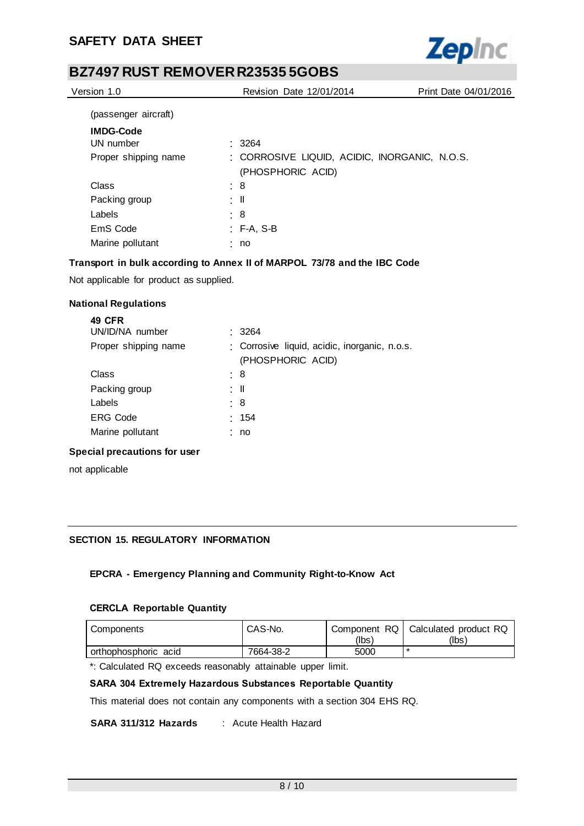

| Version 1.0          | <b>Revision Date 12/01/2014</b>               | Print Date 04/01/2016 |
|----------------------|-----------------------------------------------|-----------------------|
| (passenger aircraft) |                                               |                       |
| <b>IMDG-Code</b>     |                                               |                       |
| UN number            | .3264                                         |                       |
| Proper shipping name | : CORROSIVE LIQUID, ACIDIC, INORGANIC, N.O.S. |                       |
|                      | (PHOSPHORIC ACID)                             |                       |
| Class                | : 8                                           |                       |
| Packing group        | : II                                          |                       |
| Labels               | $\therefore$ 8                                |                       |
| EmS Code             | $:$ F-A, S-B                                  |                       |
| Marine pollutant     | : no                                          |                       |
|                      |                                               |                       |

## **Transport in bulk according to Annex II of MARPOL 73/78 and the IBC Code**

Not applicable for product as supplied.

### **National Regulations**

| <b>49 CFR</b><br>UN/ID/NA number | .3264                                                              |
|----------------------------------|--------------------------------------------------------------------|
| Proper shipping name             | : Corrosive liquid, acidic, inorganic, n.o.s.<br>(PHOSPHORIC ACID) |
| Class                            | : 8                                                                |
| Packing group                    | : II                                                               |
| Labels                           | : 8                                                                |
| <b>ERG Code</b>                  | : 154                                                              |
| Marine pollutant                 | : no                                                               |
| Special precautions for user     |                                                                    |

not applicable

### **SECTION 15. REGULATORY INFORMATION**

## **EPCRA - Emergency Planning and Community Right-to-Know Act**

### **CERCLA Reportable Quantity**

| Components           | CAS-No.   | (lbs) | Component RQ   Calculated product RQ<br>(lbs) |
|----------------------|-----------|-------|-----------------------------------------------|
| orthophosphoric acid | 7664-38-2 | 5000  |                                               |

\*: Calculated RQ exceeds reasonably attainable upper limit.

## **SARA 304 Extremely Hazardous Substances Reportable Quantity**

This material does not contain any components with a section 304 EHS RQ.

**SARA 311/312 Hazards** : Acute Health Hazard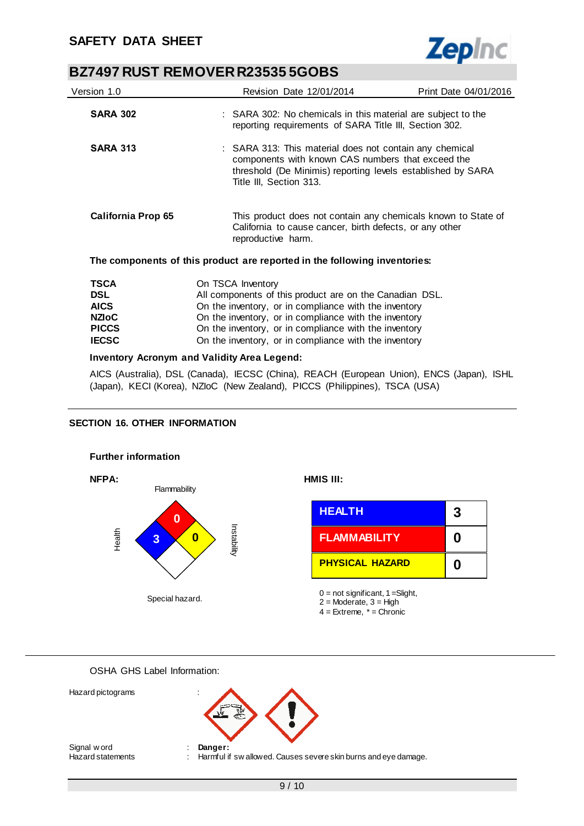

| Version 1.0               | <b>Revision Date 12/01/2014</b>                                                                                                                                                                        | Print Date 04/01/2016                                                                                                  |  |  |
|---------------------------|--------------------------------------------------------------------------------------------------------------------------------------------------------------------------------------------------------|------------------------------------------------------------------------------------------------------------------------|--|--|
| <b>SARA 302</b>           |                                                                                                                                                                                                        | : SARA 302: No chemicals in this material are subject to the<br>reporting requirements of SARA Title III, Section 302. |  |  |
| <b>SARA 313</b>           | : SARA 313: This material does not contain any chemical<br>components with known CAS numbers that exceed the<br>threshold (De Minimis) reporting levels established by SARA<br>Title III, Section 313. |                                                                                                                        |  |  |
| <b>California Prop 65</b> | This product does not contain any chemicals known to State of<br>California to cause cancer, birth defects, or any other<br>reproductive harm.                                                         |                                                                                                                        |  |  |
|                           | The components of this product are reported in the following inventories:                                                                                                                              |                                                                                                                        |  |  |
| TSCA                      | On TSCA Inventory                                                                                                                                                                                      |                                                                                                                        |  |  |
| <b>DSL</b>                | All components of this product are on the Canadian DSL.                                                                                                                                                |                                                                                                                        |  |  |
| <b>AICS</b>               | On the inventory, or in compliance with the inventory                                                                                                                                                  |                                                                                                                        |  |  |
| <b>NZIoC</b>              | On the inventory, or in compliance with the inventory                                                                                                                                                  |                                                                                                                        |  |  |
| <b>PICCS</b>              | On the inventory, or in compliance with the inventory                                                                                                                                                  |                                                                                                                        |  |  |

## **Inventory Acronym and Validity Area Legend:**

AICS (Australia), DSL (Canada), IECSC (China), REACH (European Union), ENCS (Japan), ISHL (Japan), KECI (Korea), NZIoC (New Zealand), PICCS (Philippines), TSCA (USA)

On the inventory, or in compliance with the inventory

**PICCS** On the inventory, or in compliance with the inventory<br>**IECSC** On the inventory, or in compliance with the inventory

### **SECTION 16. OTHER INFORMATION**



Special hazard.

| <b>HEALTH</b>          | 3 |
|------------------------|---|
| <b>FLAMMABILITY</b>    | O |
| <b>PHYSICAL HAZARD</b> | O |

 $0 = not$  significant,  $1 =$ Slight,  $2 =$  Moderate,  $3 =$  High  $4 =$  Extreme,  $* =$  Chronic

OSHA GHS Label Information:



Signal w ord **: Danger:**<br>
Hazard statements : Harmful if

Hazard pictograms :

: Harmful if sw allowed. Causes severe skin burns and eye damage.